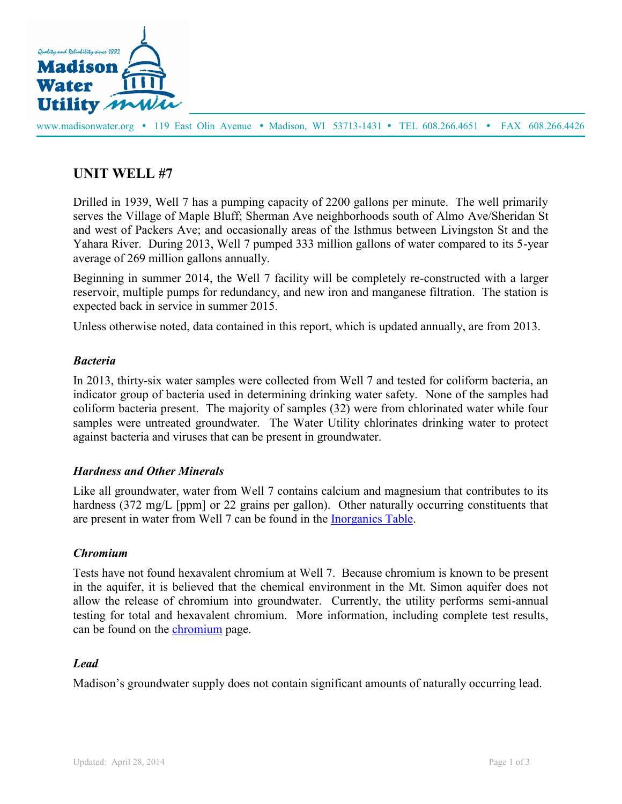

www.madisonwater.org • 119 East Olin Avenue • Madison, WI 53713-1431 • TEL 608.266.4651 • FAX 608.266.4426

# **UNIT WELL #7**

Drilled in 1939, Well 7 has a pumping capacity of 2200 gallons per minute. The well primarily serves the Village of Maple Bluff; Sherman Ave neighborhoods south of Almo Ave/Sheridan St and west of Packers Ave; and occasionally areas of the Isthmus between Livingston St and the Yahara River. During 2013, Well 7 pumped 333 million gallons of water compared to its 5-year average of 269 million gallons annually.

Beginning in summer 2014, the Well 7 facility will be completely re-constructed with a larger reservoir, multiple pumps for redundancy, and new iron and manganese filtration. The station is expected back in service in summer 2015.

Unless otherwise noted, data contained in this report, which is updated annually, are from 2013.

### *Bacteria*

In 2013, thirty-six water samples were collected from Well 7 and tested for coliform bacteria, an indicator group of bacteria used in determining drinking water safety. None of the samples had coliform bacteria present. The majority of samples (32) were from chlorinated water while four samples were untreated groundwater. The Water Utility chlorinates drinking water to protect against bacteria and viruses that can be present in groundwater.

# *Hardness and Other Minerals*

Like all groundwater, water from Well 7 contains calcium and magnesium that contributes to its hardness (372 mg/L [ppm] or 22 grains per gallon). Other naturally occurring constituents that are present in water from Well 7 can be found in the [Inorganics Table.](http://www.cityofmadison.com/water/documents/waterQuality/2013_WQ_IOC_UW7.pdf)

#### *Chromium*

Tests have not found hexavalent chromium at Well 7. Because chromium is known to be present in the aquifer, it is believed that the chemical environment in the Mt. Simon aquifer does not allow the release of chromium into groundwater. Currently, the utility performs semi-annual testing for total and hexavalent chromium. More information, including complete test results, can be found on the [chromium](http://www.cityofmadison.com/water/waterQuality/Chromium.cfm) page.

#### *Lead*

Madison's groundwater supply does not contain significant amounts of naturally occurring lead.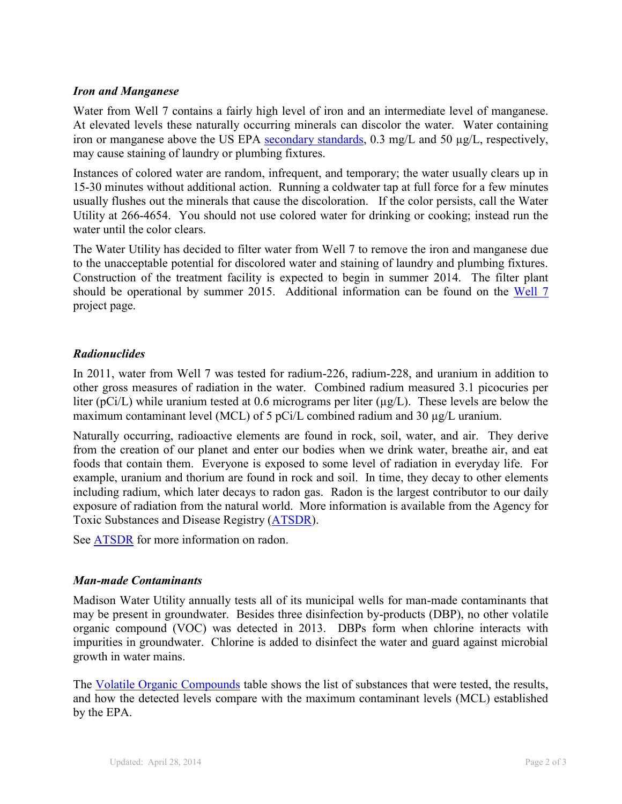#### *Iron and Manganese*

Water from Well 7 contains a fairly high level of iron and an intermediate level of manganese. At elevated levels these naturally occurring minerals can discolor the water. Water containing iron or manganese above the US EPA [secondary standards,](http://www.epa.gov/safewater/contaminants/index.html#sec) 0.3 mg/L and 50 µg/L, respectively, may cause staining of laundry or plumbing fixtures.

Instances of colored water are random, infrequent, and temporary; the water usually clears up in 15-30 minutes without additional action. Running a coldwater tap at full force for a few minutes usually flushes out the minerals that cause the discoloration. If the color persists, call the Water Utility at 266-4654. You should not use colored water for drinking or cooking; instead run the water until the color clears.

The Water Utility has decided to filter water from Well 7 to remove the iron and manganese due to the unacceptable potential for discolored water and staining of laundry and plumbing fixtures. Construction of the treatment facility is expected to begin in summer 2014. The filter plant should be operational by summer 2015. Additional information can be found on the [Well 7](http://www.cityofmadison.com/water/plans/Well7.cfm) project page.

# *Radionuclides*

In 2011, water from Well 7 was tested for radium-226, radium-228, and uranium in addition to other gross measures of radiation in the water. Combined radium measured 3.1 picocuries per liter (pCi/L) while uranium tested at 0.6 micrograms per liter ( $\mu$ g/L). These levels are below the maximum contaminant level (MCL) of 5 pCi/L combined radium and 30 µg/L uranium.

Naturally occurring, radioactive elements are found in rock, soil, water, and air. They derive from the creation of our planet and enter our bodies when we drink water, breathe air, and eat foods that contain them. Everyone is exposed to some level of radiation in everyday life. For example, uranium and thorium are found in rock and soil. In time, they decay to other elements including radium, which later decays to radon gas. Radon is the largest contributor to our daily exposure of radiation from the natural world. More information is available from the Agency for Toxic Substances and Disease Registry [\(ATSDR\)](http://www.atsdr.cdc.gov/phs/phs.asp?id=789&tid=154).

See [ATSDR](http://www.atsdr.cdc.gov/phs/phs.asp?id=405&tid=71) for more information on radon.

# *Man-made Contaminants*

Madison Water Utility annually tests all of its municipal wells for man-made contaminants that may be present in groundwater. Besides three disinfection by-products (DBP), no other volatile organic compound (VOC) was detected in 2013. DBPs form when chlorine interacts with impurities in groundwater. Chlorine is added to disinfect the water and guard against microbial growth in water mains.

The [Volatile Organic Compounds](http://www.cityofmadison.com/water/documents/waterQuality/2013_WQ_VOC_UW7.pdf) table shows the list of substances that were tested, the results, and how the detected levels compare with the maximum contaminant levels (MCL) established by the EPA.